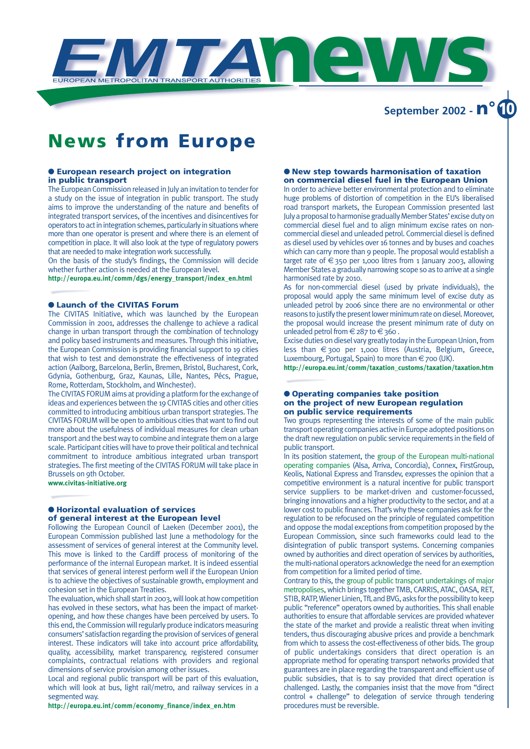

**September 2002 - n° 10**

## **News from Europe**

### ● **European research project on integration in public transport**

The European Commission released in July an invitation to tender for a study on the issue of integration in public transport. The study aims to improve the understanding of the nature and benefits of integrated transport services, of the incentives and disincentives for operators to act in integration schemes, particularly in situations where more than one operator is present and where there is an element of competition in place. It will also look at the type of regulatory powers that are needed to make integration work successfully.

On the basis of the study's findings, the Commission will decide whether further action is needed at the European level.

**http://europa.eu.int/comm/dgs/energy\_transport/index\_en.html**

### ● **Launch of the CIVITAS Forum**

The CIVITAS Initiative, which was launched by the European Commission in 2001, addresses the challenge to achieve a radical change in urban transport through the combination of technology and policy based instruments and measures. Through this initiative, the European Commission is providing financial support to 19 cities that wish to test and demonstrate the effectiveness of integrated action (Aalborg, Barcelona, Berlin, Bremen, Bristol, Bucharest, Cork, Gdynia, Gothenburg, Graz, Kaunas, Lille, Nantes, Pécs, Prague, Rome, Rotterdam, Stockholm, and Winchester).

The CIVITAS FORUM aims at providing a platform for the exchange of ideas and experiences between the 19 CIVITAS cities and other cities committed to introducing ambitious urban transport strategies. The CIVITAS FORUM will be open to ambitious cities that want to find out more about the usefulness of individual measures for clean urban transport and the best way to combine and integrate them on a large scale. Participant cities will have to prove their political and technical commitment to introduce ambitious integrated urban transport strategies. The first meeting of the CIVITAS FORUM will take place in Brussels on 9th October.

**www.civitas-initiative.org**

### ● **Horizontal evaluation of services of general interest at the European level**

Following the European Council of Laeken (December 2001), the European Commission published last June a methodology for the assessment of services of general interest at the Community level. This move is linked to the Cardiff process of monitoring of the performance of the internal European market. It is indeed essential that services of general interest perform well if the European Union is to achieve the objectives of sustainable growth, employment and cohesion set in the European Treaties.

The evaluation, which shall start in 2003, will look at how competition has evolved in these sectors, what has been the impact of marketopening, and how these changes have been perceived by users. To this end, the Commission will regularly produce indicators measuring consumers'satisfaction regarding the provision of services of general interest. These indicators will take into account price affordability, quality, accessibility, market transparency, registered consumer complaints, contractual relations with providers and regional dimensions of service provision among other issues.

Local and regional public transport will be part of this evaluation, which will look at bus, light rail/metro, and railway services in a segmented way.

**http://europa.eu.int/comm/economy\_finance/index\_en.htm**

### ● **New step towards harmonisation of taxation on commercial diesel fuel in the European Union**

In order to achieve better environmental protection and to eliminate huge problems of distortion of competition in the EU's liberalised road transport markets, the European Commission presented last July a proposal to harmonise gradually Member States' excise duty on commercial diesel fuel and to align minimum excise rates on noncommercial diesel and unleaded petrol. Commercial diesel is defined as diesel used by vehicles over 16 tonnes and by buses and coaches which can carry more than 9 people. The proposal would establish a target rate of  $\epsilon$ 350 per 1,000 litres from 1 January 2003, allowing Member States a gradually narrowing scope so as to arrive at a single harmonised rate by 2010.

As for non-commercial diesel (used by private individuals), the proposal would apply the same minimum level of excise duty as unleaded petrol by 2006 since there are no environmental or other reasons to justify the present lower minimum rate on diesel. Moreover, the proposal would increase the present minimum rate of duty on unleaded petrol from  $\in$  287 to  $\in$  360.

Excise duties on diesel vary greatly today in the European Union, from less than €300 per 1,000 litres (Austria, Belgium, Greece, Luxembourg, Portugal, Spain) to more than €700 (UK).

**http://europa.eu.int/comm/taxation\_customs/taxation/taxation.htm**

### ● **Operating companies take position on the project of new European regulation on public service requirements**

Two groups representing the interests of some of the main public transport operating companies active in Europe adopted positions on the draft new regulation on public service requirements in the field of public transport.

In its position statement, the group of the European multi-national operating companies (Alsa, Arriva, Concordia), Connex, FirstGroup, Keolis, National Express and Transdev, expresses the opinion that a competitive environment is a natural incentive for public transport service suppliers to be market-driven and customer-focussed, bringing innovations and a higher productivity to the sector, and at a lower cost to public finances. That's why these companies ask for the regulation to be refocused on the principle of regulated competition and oppose the modal exceptions from competition proposed by the European Commission, since such frameworks could lead to the disintegration of public transport systems. Concerning companies owned by authorities and direct operation of services by authorities, the multi-national operators acknowledge the need for an exemption from competition for a limited period of time.

Contrary to this, the group of public transport undertakings of major metropolises, which brings together TMB, CARRIS, ATAC, OASA, RET, STIB, RATP, Wiener Linien, TfLand BVG, asks for the possibility to keep public "reference" operators owned by authorities. This shall enable authorities to ensure that affordable services are provided whatever the state of the market and provide a realistic threat when inviting tenders, thus discouraging abusive prices and provide a benchmark from which to assess the cost-effectiveness of other bids. The group of public undertakings considers that direct operation is an appropriate method for operating transport networks provided that guarantees are in place regarding the transparent and efficient use of public subsidies, that is to say provided that direct operation is challenged. Lastly, the companies insist that the move from "direct control + challenge" to delegation of service through tendering procedures must be reversible.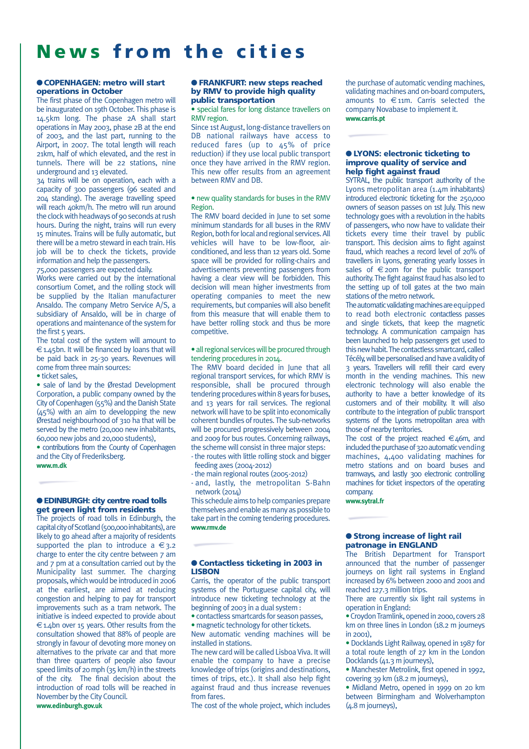## **News from the cities**

### ●**COPENHAGEN: metro will start operations in October**

The first phase of the Copenhagen metro will be inaugurated on 19th October. This phase is 14.5km long. The phase 2A shall start operations in May 2003, phase 2B at the end of 2003, and the last part, running to the Airport, in 2007. The total length will reach 21km, half of which elevated, and the rest in tunnels. There will be 22 stations, nine underground and 13 elevated.

34 trains will be on operation, each with a capacity of 300 passengers (96 seated and 204 standing). The average travelling speed will reach 40km/h. The metro will run around the clock with headways of 90 seconds at rush hours. During the night, trains will run every 15 minutes. Trains will be fully automatic, but there will be a metro steward in each train. His job will be to check the tickets, provide information and help the passengers.

75,000 passengers are expected daily.

Works were carried out by the international consortium Comet, and the rolling stock will be supplied by the Italian manufacturer Ansaldo. The company Metro Service A/S, a subsidiary of Ansaldo, will be in charge of operations and maintenance of the system for the first  $5$  years.

The total cost of the system will amount to  $\epsilon$ 1.45bn. It will be financed by loans that will be paid back in 25-30 years. Revenues will come from three main sources:

• ticket sales,

• sale of land by the Ørestad Development Corporation, a public company owned by the City of Copenhagen (55%) and the Danish State (45%) with an aim to developping the new Ørestad neighbourhood of 310 ha that will be served by the metro (20,000 new inhabitants, 60,000 new jobs and 20,000 students),

• contributions from the County of Copenhagen and the City of Frederiksberg. **www.m.dk**

### ● **EDINBURGH: city centre road tolls get green light from residents**

The projects of road tolls in Edinburgh, the capital city of Scotland (500,000 inhabitants), are likely to go ahead after a majority of residents supported the plan to introduce a  $\epsilon$ 3.2 charge to enter the city centre between 7 am and 7 pm at a consultation carried out by the Municipality last summer. The charging proposals, which would be introduced in 2006 at the earliest, are aimed at reducing congestion and helping to pay for transport improvements such as a tram network. The initiative is indeed expected to provide about  $\epsilon$ 1.4bn over 15 years. Other results from the consultation showed that 88% of people are strongly in favour of devoting more money on alternatives to the private car and that more than three quarters of people also favour speed limits of 20 mph (35 km/h) in the streets of the city. The final decision about the introduction of road tolls will be reached in November by the City Council. **www.edinburgh.gov.uk**

### ● **FRANKFURT: new steps reached by RMV to provide high quality public transportation**

• special fares for long distance travellers on RMV region.

Since 1st August, long-distance travellers on DB national railways have access to reduced fares (up to  $45%$  of price reduction) if they use local public transport once they have arrived in the RMV region. This new offer results from an agreement between RMV and DB.

### • new quality standards for buses in the RMV Region.

The RMV board decided in June to set some minimum standards for all buses in the RMV Region, both for local and regional services. All vehicles will have to be low-floor, airconditioned, and less than 12 years old. Some space will be provided for rolling-chairs and advertisements preventing passengers from having a clear view will be forbidden. This decision will mean higher investments from operating companies to meet the new requirements, but companies will also benefit from this measure that will enable them to have better rolling stock and thus be more competitive.

### • all regional services will be procured through tendering procedures in 2014.

The RMV board decided in June that all regional transport services, for which RMV is responsible, shall be procured through tendering procedures within 8 years for buses, and 13 years for rail services. The regional network will have to be split into economically coherent bundles of routes. The sub-networks will be procured progressively between 2004 and 2009 for bus routes. Concerning railways, the scheme will consist in three major steps:

- the routes with little rolling stock and bigger feeding axes (2004-2012)

- the main regional routes (2005-2012)

- and, lastly, the metropolitan S-Bahn network (2014)

This schedule aims to help companies prepare themselves and enable as many as possible to take part in the coming tendering procedures. **www.rmv.de**

### ● **Contactless ticketing in 2003 in LISBON**

Carris, the operator of the public transport systems of the Portuguese capital city, will introduce new ticketing technology at the beginning of 2003 in a dual system :

• contactless smartcards for season passes, • magnetic technology for other tickets.

New automatic vending machines will be installed in stations.

The new card will be called Lisboa Viva. It will enable the company to have a precise knowledge of trips (origins and destinations, times of trips, etc.). It shall also help fight against fraud and thus increase revenues from fares.

The cost of the whole project, which includes

the purchase of automatic vending machines, validating machines and on-board computers, amounts to  $\epsilon$ 11m. Carris selected the company Novabase to implement it. **www.carris.pt**

### ● **LYONS: electronic ticketing to improve quality of service and help fight against fraud**

SYTRAL, the public transport authority of the Lyons metropolitan area (1.4m inhabitants) introduced electronic ticketing for the 250,000 owners of season passes on 1st July. This new technology goes with a revolution in the habits of passengers, who now have to validate their tickets every time their travel by public transport. This decision aims to fight against fraud, which reaches a record level of 20% of travellers in Lyons, generating yearly losses in sales of  $\epsilon$  20m for the public transport authority. The fight against fraud has also led to the setting up of toll gates at the two main stations of the metro network.

The automatic validating machines are equipped to read both electronic contactless passes and single tickets, that keep the magnetic technology. A communication campaign has been launched to help passengers get used to this new habit. The contactless smartcard, called Técély, will be personalised and have a validity of 3 years. Travellers will refill their card every month in the vending machines. This new electronic technology will also enable the authority to have a better knowledge of its customers and of their mobility. It will also contribute to the integration of public transport systems of the Lyons metropolitan area with those of nearby territories.

The cost of the project reached  $\in$  46m, and included the purchase of 320 automatic vending machines, 4,400 validating machines for metro stations and on board buses and tramways, and lastly 300 electronic controlling machines for ticket inspectors of the operating company.

**www.sytral.fr**

### ● **Strong increase of light rail patronage in ENGLAND**

The British Department for Transport announced that the number of passenger journeys on light rail systems in England increased by 6% between 2000 and 2001 and reached 127.3 million trips.

There are currently six light rail systems in operation in England:

•Croydon Tramlink, opened in 2000, covers 28 km on three lines in London (18.2 m journeys  $in 2001$ 

• Docklands Light Railway, opened in 1987 for a total route length of 27 km in the London Docklands (41.3 m journeys),

• Manchester Metrolink, first opened in 1992, covering 39 km (18.2 m journeys),

• Midland Metro, opened in 1999 on 20 km between Birmingham and Wolverhampton (4.8 m journeys),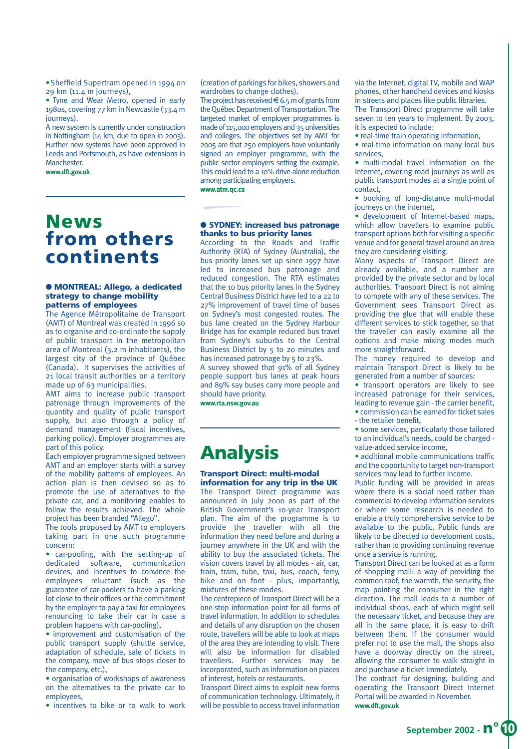•Sheffield Supertram opened in 1994 on 29 km (11.4 m journeys),

• Tyne and Wear Metro, opened in early 1980s, covering 77 km in Newcastle (33.4 m iourneys).

A new system is currently under construction in Nottingham (14 km, due to open in 2003). Further new systems have been approved in Leeds and Portsmouth, as have extensions in Manchester.

**www.dft.gov.uk**

(creation of parkings for bikes, showers and wardrobes to change clothes).

The project has received  $\in$  6.5 m of grants from the Québec Department of Transportation. The targeted market of employer programmes is made of 115,000 employers and 35 universities and colleges. The objectives set by AMT for 2005 are that 250 employers have voluntarily signed an employer programme, with the public sector employers setting the example. This could lead to a 10% drive-alone reduction among participating employers.

**www.atm.qc.ca**

### **News from others continents**

### ● **MONTREAL: Allego, a dedicated strategy to change mobility patterns of employees**

The Agence Métropolitaine de Transport (AMT) of Montreal was created in 1996 so as to organise and co-ordinate the supply of public transport in the metropolitan area of Montreal (3.2 m inhabitants), the largest city of the province of Québec (Canada). It supervises the activities of 21 local transit authorities on a territory made up of 63 municipalities.

AMT aims to increase public transport patronage through improvements of the quantity and quality of public transport supply, but also through a policy of demand management (fiscal incentives, parking policy). Employer programmes are part of this policy.

Each employer programme signed between AMT and an employer starts with a survey of the mobility patterns of employees. An action plan is then devised so as to promote the use of alternatives to the private car, and a monitoring enables to follow the results achieved. The whole project has been branded "Allego".

The tools proposed by AMT to employers taking part in one such programme concern:

• car-pooling, with the setting-up of dedicated software, communication devices, and incentives to convince the employees reluctant (such as the guarantee of car-poolers to have a parking lot close to their offices or the commitment by the employer to pay a taxi for employees renouncing to take their car in case a problem happens with car-pooling),

• improvement and customisation of the public transport supply (shuttle service, adaptation of schedule, sale of tickets in the company, move of bus stops closer to the company, etc.),

• organisation of workshops of awareness on the alternatives to the private car to employees,

• incentives to bike or to walk to work

### ● **SYDNEY: increased bus patronage thanks to bus priority lanes**

According to the Roads and Traffic Authority (RTA) of Sydney (Australia), the bus priority lanes set up since 1997 have led to increased bus patronage and reduced congestion. The RTA estimates that the 10 bus priority lanes in the Sydney Central Business District have led to a 22 to 27% improvement of travel time of buses on Sydney's most congested routes. The bus lane created on the Sydney Harbour Bridge has for example reduced bus travel from Sydney's suburbs to the Central Business District by 5 to 20 minutes and has increased patronage by 5 to 23%.

A survey showed that 91% of all Sydney people support bus lanes at peak hours and 89% say buses carry more people and should have priority.

**www.rta.nsw.gov.au**

## **Analysis**

### **Transport Direct: multi-modal information for any trip in the UK**

The Transport Direct programme was announced in July 2000 as part of the British Government's 10-year Transport plan. The aim of the programme is to provide the traveller with all the information they need before and during a journey anywhere in the UK and with the ability to buy the associated tickets. The vision covers travel by all modes - air, car, train, tram, tube, taxi, bus, coach, ferry, bike and on foot - plus, importantly, mixtures of these modes.

The centrepiece of Transport Direct will be a one-stop information point for all forms of travel information. In addition to schedules and details of any disruption on the chosen route, travellers will be able to look at maps of the area they are intending to visit. There will also be information for disabled travellers. Further services may be incorporated, such as information on places of interest, hotels or restaurants.

Transport Direct aims to exploit new forms of communication technology. Ultimately, it will be possible to access travel information via the Internet, digital TV, mobile and WAP phones, other handheld devices and kiosks in streets and places like public libraries. The Transport Direct programme will take seven to ten years to implement. By 2003, it is expected to include:

• real-time train operating information,

• real-time information on many local bus services,

• multi-modal travel information on the Internet, covering road journeys as well as public transport modes at a single point of contact,

• booking of long-distance multi-modal journeys on the internet,

• development of Internet-based maps, which allow travellers to examine public transport options both for visiting a specific venue and for general travel around an area they are considering visiting.

Many aspects of Transport Direct are already available, and a number are provided by the private sector and by local authorities. Transport Direct is not aiming to compete with any of these services. The Government sees Transport Direct as providing the glue that will enable these different services to stick together, so that the traveller can easily examine all the options and make mixing modes much more straightforward.

The money required to develop and maintain Transport Direct is likely to be generated from a number of sources:

• transport operators are likely to see increased patronage for their services, leading to revenue gain - the carrier benefit, • commission can be earned for ticket sales

- the retailer benefit,

• some services, particularly those tailored to an individual's needs, could be charged value-added service income,

• additional mobile communications traffic and the opportunity to target non-transport services may lead to further income.

Public funding will be provided in areas where there is a social need rather than commercial to develop information services or where some research is needed to enable a truly comprehensive service to be available to the public. Public funds are likely to be directed to development costs, rather than to providing continuing revenue once a service is running.

Transport Direct can be looked at as a form of shopping mall: a way of providing the common roof, the warmth, the security, the map pointing the consumer in the right direction. The mall leads to a number of individual shops, each of which might sell the necessary ticket, and because they are all in the same place, it is easy to drift between them. If the consumer would prefer not to use the mall, the shops also have a doorway directly on the street, allowing the consumer to walk straight in and purchase a ticket immediately.

The contract for designing, building and operating the Transport Direct Internet Portal will be awarded in November. **www.dft.gov.uk**